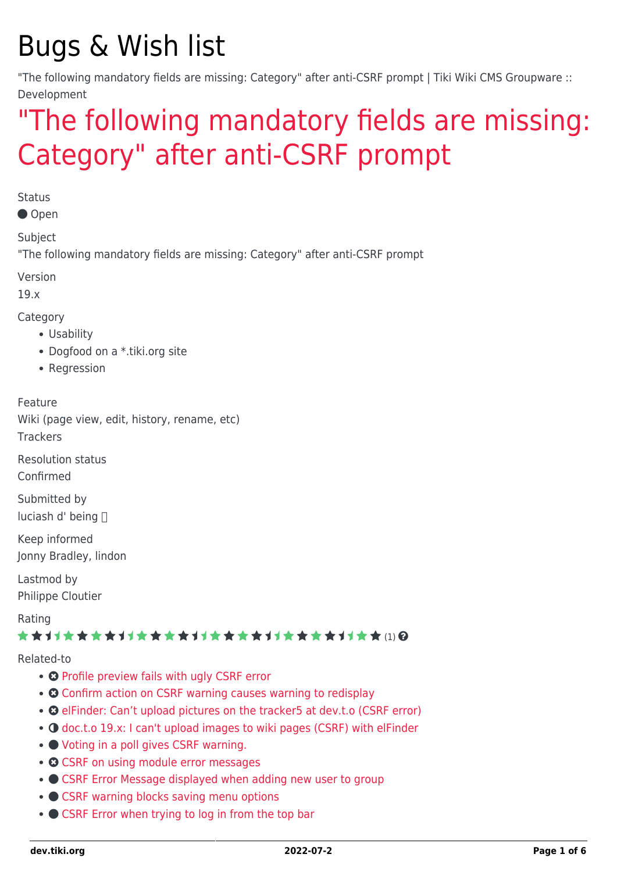# Bugs & Wish list

"The following mandatory fields are missing: Category" after anti-CSRF prompt | Tiki Wiki CMS Groupware :: Development

# ["The following mandatory fields are missing:](https://dev.tiki.org/item6926--The-following-mandatory-fields-are-missing-Category-after-anti-CSRF-prompt) [Category" after anti-CSRF prompt](https://dev.tiki.org/item6926--The-following-mandatory-fields-are-missing-Category-after-anti-CSRF-prompt)

**Status** 

● Open

Subject

"The following mandatory fields are missing: Category" after anti-CSRF prompt

Version

19.x

Category

- Usability
- Dogfood on a \*.tiki.org site
- Regression

Feature

Wiki (page view, edit, history, rename, etc)

**Trackers** 

Resolution status Confirmed

Submitted by luciash d' being

Keep informed Jonny Bradley, lindon

Lastmod by Philippe Cloutier

Rating

#### ★★オオ★★★★オオ★★★★オオ★★★★オオ★★★★オオ★★ⅢQ

Related-to

- **O** [Profile preview fails with ugly CSRF error](https://dev.tiki.org/item6760-Profile-preview-fails-with-ugly-CSRF-error)
- **O** [Confirm action on CSRF warning causes warning to redisplay](https://dev.tiki.org/item6169-Confirm-action-on-CSRF-warning-causes-warning-to-redisplay)
- **@** [elFinder: Can't upload pictures on the tracker5 at dev.t.o \(CSRF error\)](https://dev.tiki.org/item6900-elFinder-Can-t-upload-pictures-on-the-tracker5-at-dev-t-o-CSRF-error)
- O [doc.t.o 19.x: I can't upload images to wiki pages \(CSRF\) with elFinder](https://dev.tiki.org/item6931-doc-t-o-19-x-I-can-t-upload-images-to-wiki-pages-CSRF-with-elFinder)
- [Voting in a poll gives CSRF warning.](https://dev.tiki.org/item7350-Voting-in-a-poll-gives-CSRF-warning)
- © [CSRF on using module error messages](https://dev.tiki.org/item6941-CSRF-on-using-module-error-messages)
- [CSRF Error Message displayed when adding new user to group](https://dev.tiki.org/item7604-CSRF-Error-Message-displayed-when-adding-new-user-to-group)
- [CSRF warning blocks saving menu options](https://dev.tiki.org/item7063-CSRF-warning-blocks-saving-menu-options)
- [CSRF Error when trying to log in from the top bar](https://dev.tiki.org/item7038-CSRF-Error-when-trying-to-log-in-from-the-top-bar)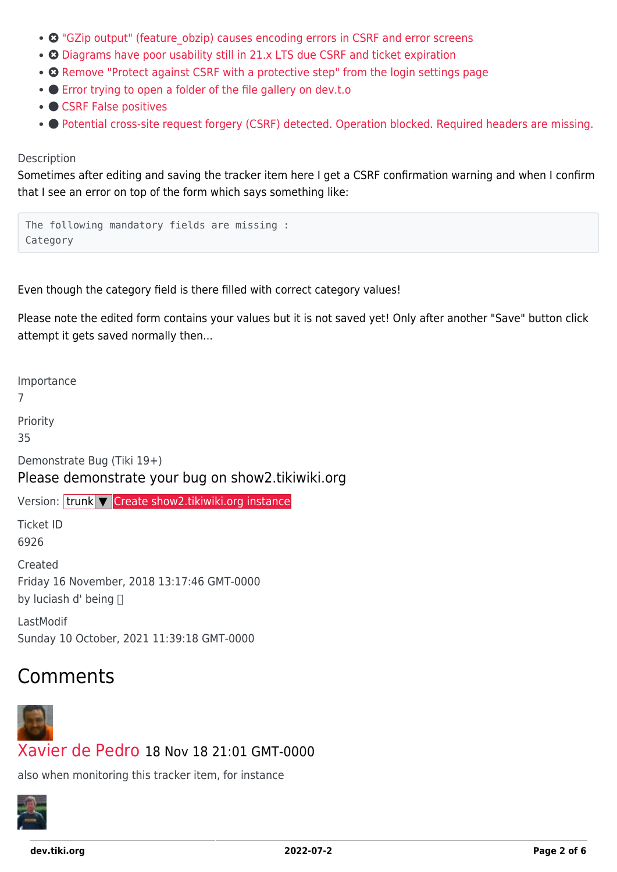- <sup>O</sup> "GZip output" (feature obzip) causes encoding errors in CSRF and error screens
- © [Diagrams have poor usability still in 21.x LTS due CSRF and ticket expiration](https://dev.tiki.org/item7547-Diagrams-have-poor-usability-still-in-21-x-LTS-due-CSRF-and-ticket-expiration)
- **O** [Remove "Protect against CSRF with a protective step" from the login settings page](https://dev.tiki.org/item1095-Remove-Protect-against-CSRF-with-a-protective-step-from-the-login-settings-page)
- **C** [Error trying to open a folder of the file gallery on dev.t.o](https://dev.tiki.org/item6833-Error-trying-to-open-a-folder-of-the-file-gallery-on-dev-t-o)
- ● [CSRF False positives](https://dev.tiki.org/item7133-CSRF-False-positives)
- **[Potential cross-site request forgery \(CSRF\) detected. Operation blocked. Required headers are missing.](https://dev.tiki.org/item7633-Potential-cross-site-request-forgery-CSRF-detected-Operation-blocked-Required-headers-are-missing)**

#### Description

Sometimes after editing and saving the tracker item here I get a CSRF confirmation warning and when I confirm that I see an error on top of the form which says something like:

The following mandatory fields are missing : Category

Even though the category field is there filled with correct category values!

Please note the edited form contains your values but it is not saved yet! Only after another "Save" button click attempt it gets saved normally then...

Importance

7

Priority

35

Demonstrate Bug (Tiki 19+)

Please demonstrate your bug on show2.tikiwiki.org

Version: trunk ▼ [Create show2.tikiwiki.org instance](#page--1-0)

Ticket ID 6926

Created Friday 16 November, 2018 13:17:46 GMT-0000 by luciash d' being

LastModif Sunday 10 October, 2021 11:39:18 GMT-0000

## Comments



#### [Xavier de Pedro](https://dev.tiki.org/user9794) 18 Nov 18 21:01 GMT-0000

also when monitoring this tracker item, for instance

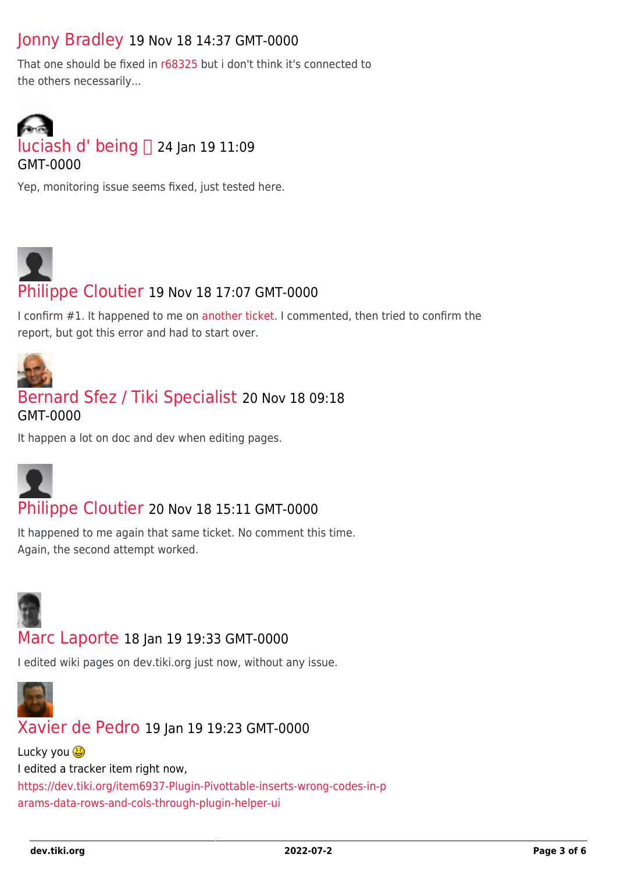### [Jonny Bradley](https://dev.tiki.org/user8515) 19 Nov 18 14:37 GMT-0000

That one should be fixed in [r68325](http://sourceforge.net/p/tikiwiki/code/68325) but i don't think it's connected to the others necessarily...



Yep, monitoring issue seems fixed, just tested here.



I confirm #1. It happened to me on [another ticket.](https://dev.tiki.org/item6718-Wiki-Syntax-page-at-dev-is-broken) I commented, then tried to confirm the report, but got this error and had to start over.



#### [Bernard Sfez / Tiki Specialist](https://dev.tiki.org/user11581) 20 Nov 18 09:18 GMT-0000

It happen a lot on doc and dev when editing pages.



#### [Philippe Cloutier](https://dev.tiki.org/user232) 20 Nov 18 15:11 GMT-0000

It happened to me again that same ticket. No comment this time. Again, the second attempt worked.



#### [Marc Laporte](https://dev.tiki.org/user11197) 18 Jan 19 19:33 GMT-0000

I edited wiki pages on dev.tiki.org just now, without any issue.



#### [Xavier de Pedro](https://dev.tiki.org/user9794) 19 Jan 19 19:23 GMT-0000

Lucky you **D** I edited a tracker item right now, [https://dev.tiki.org/item6937-Plugin-Pivottable-inserts-wrong-codes-in-p](https://dev.tiki.org/item6937-Plugin-Pivottable-inserts-wrong-codes-in-params-data-rows-and-cols-through-plugin-helper-ui) [arams-data-rows-and-cols-through-plugin-helper-ui](https://dev.tiki.org/item6937-Plugin-Pivottable-inserts-wrong-codes-in-params-data-rows-and-cols-through-plugin-helper-ui)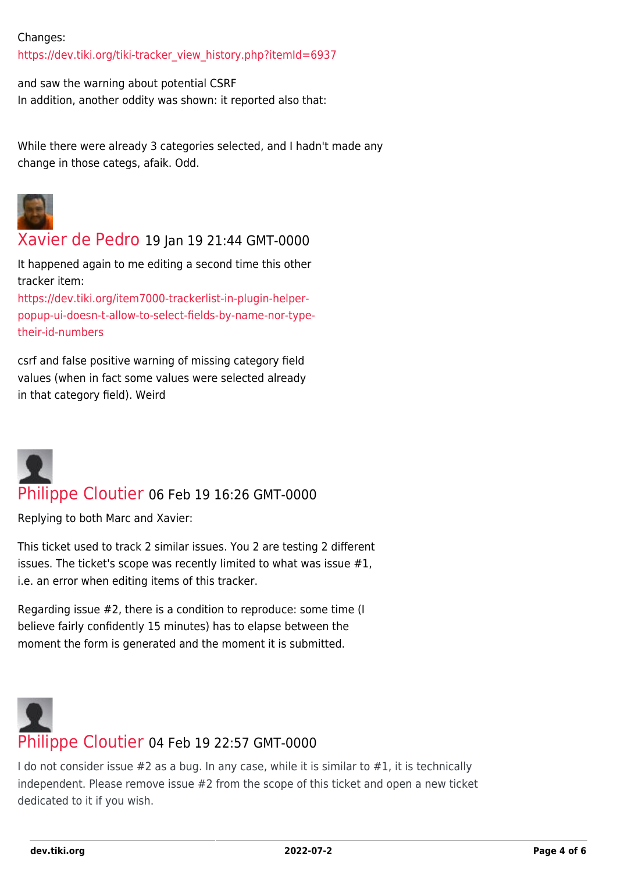#### Changes:

[https://dev.tiki.org/tiki-tracker\\_view\\_history.php?itemId=6937](https://dev.tiki.org/tiki-tracker_view_history.php?itemId=6937)

and saw the warning about potential CSRF In addition, another oddity was shown: it reported also that:

While there were already 3 categories selected, and I hadn't made any change in those categs, afaik. Odd.



#### [Xavier de Pedro](https://dev.tiki.org/user9794) 19 Jan 19 21:44 GMT-0000

It happened again to me editing a second time this other tracker item:

[https://dev.tiki.org/item7000-trackerlist-in-plugin-helper](https://dev.tiki.org/item7000-trackerlist-in-plugin-helper-popup-ui-doesn-t-allow-to-select-fields-by-name-nor-type-their-id-numbers)[popup-ui-doesn-t-allow-to-select-fields-by-name-nor-type](https://dev.tiki.org/item7000-trackerlist-in-plugin-helper-popup-ui-doesn-t-allow-to-select-fields-by-name-nor-type-their-id-numbers)[their-id-numbers](https://dev.tiki.org/item7000-trackerlist-in-plugin-helper-popup-ui-doesn-t-allow-to-select-fields-by-name-nor-type-their-id-numbers)

csrf and false positive warning of missing category field values (when in fact some values were selected already in that category field). Weird



### [Philippe Cloutier](https://dev.tiki.org/user232) 06 Feb 19 16:26 GMT-0000

Replying to both Marc and Xavier:

This ticket used to track 2 similar issues. You 2 are testing 2 different issues. The ticket's scope was recently limited to what was issue #1, i.e. an error when editing items of this tracker.

Regarding issue #2, there is a condition to reproduce: some time (I believe fairly confidently 15 minutes) has to elapse between the moment the form is generated and the moment it is submitted.

# [Philippe Cloutier](https://dev.tiki.org/user232) 04 Feb 19 22:57 GMT-0000

I do not consider issue #2 as a bug. In any case, while it is similar to #1, it is technically independent. Please remove issue #2 from the scope of this ticket and open a new ticket dedicated to it if you wish.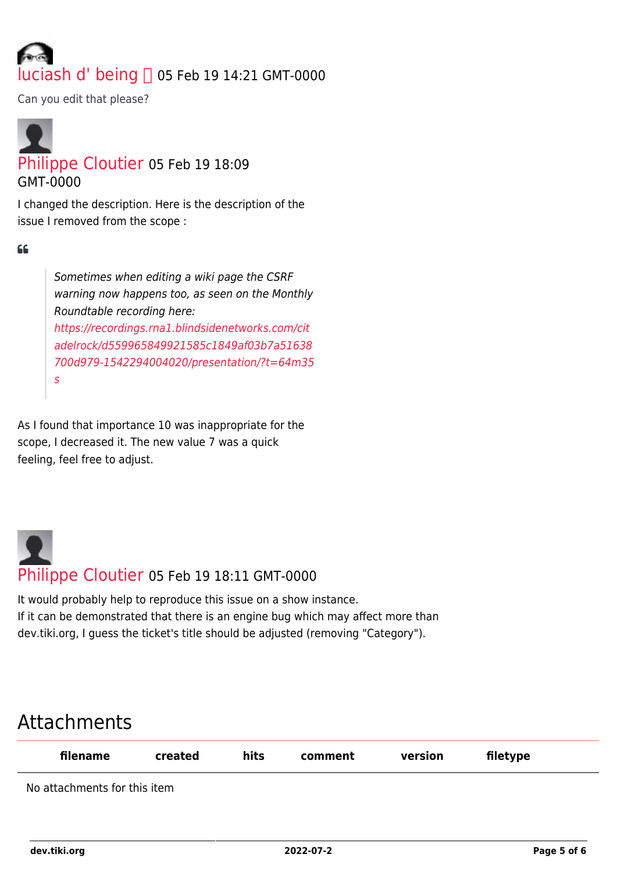# luciash d' $being \bigcap_{05}$  Feb 19 14:21 GMT-0000

Can you edit that please?

## [Philippe Cloutier](https://dev.tiki.org/user232) 05 Feb 19 18:09 GMT-0000

I changed the description. Here is the description of the issue I removed from the scope :

#### $66$

Sometimes when editing a wiki page the CSRF warning now happens too, as seen on the Monthly Roundtable recording here: [https://recordings.rna1.blindsidenetworks.com/cit](https://recordings.rna1.blindsidenetworks.com/citadelrock/d559965849921585c1849af03b7a51638700d979-1542294004020/presentation/?t=64m35s) [adelrock/d559965849921585c1849af03b7a51638](https://recordings.rna1.blindsidenetworks.com/citadelrock/d559965849921585c1849af03b7a51638700d979-1542294004020/presentation/?t=64m35s) [700d979-1542294004020/presentation/?t=64m35](https://recordings.rna1.blindsidenetworks.com/citadelrock/d559965849921585c1849af03b7a51638700d979-1542294004020/presentation/?t=64m35s) [s](https://recordings.rna1.blindsidenetworks.com/citadelrock/d559965849921585c1849af03b7a51638700d979-1542294004020/presentation/?t=64m35s)

As I found that importance 10 was inappropriate for the scope, I decreased it. The new value 7 was a quick feeling, feel free to adjust.



It would probably help to reproduce this issue on a show instance. If it can be demonstrated that there is an engine bug which may affect more than dev.tiki.org, I guess the ticket's title should be adjusted (removing "Category").

## Attachments

| filename                     | created | hits | comment | version | filetype |
|------------------------------|---------|------|---------|---------|----------|
| No attachments for this item |         |      |         |         |          |